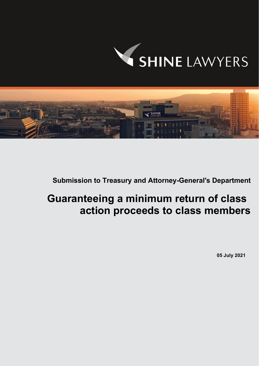



**Submission to Treasury and Attorney-General's Department** 

# **Guaranteeing a minimum return of class action proceeds to class members**

**05 July 2021**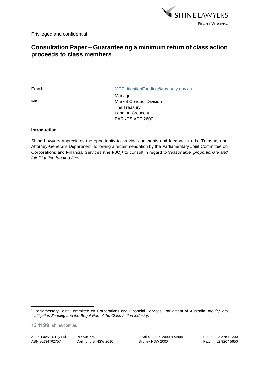

Privileged and confidential

# **Consultation Paper – Guaranteeing a minimum return of class action proceeds to class members**

Mail

Email MCDLitigationFunding@treasury.gov.au

Manager Market Conduct Division The Treasury Langton Crescent PARKES ACT 2600

# **Introduction**

Shine Lawyers appreciates the opportunity to provide comments and feedback to the Treasury and Attorney-General's Department, following a recommendation by the Parliamentary Joint Committee on Corporations and Financial Services (the **PJC**) 1 to consult in regard to '*reasonable, proportionate and fair litigation funding fees*'.

13 11 99 shine.com.au

Shine Lawyers Pty Ltd ABN 86134702757

PO Box 589, Darlinghurst NSW 2010 Level 6, 299 Elizabeth Street Sydney NSW 2000

<sup>1</sup> Parliamentary Joint Committee on Corporations and Financial Services, Parliament of Australia, *Inquiry into Litigation Funding and the Regulation of the Class Action Industry*.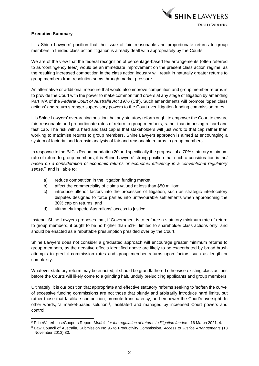

# **Executive Summary**

It is Shine Lawyers' position that the issue of fair, reasonable and proportionate returns to group members in funded class action litigation is already dealt with appropriately by the Courts.

We are of the view that the federal recognition of percentage-based fee arrangements (often referred to as 'contingency fees') would be an immediate improvement on the present class action regime, as the resulting increased competition in the class action industry will result in naturally greater returns to group members from resolution sums through market pressure.

An alternative or additional measure that would also improve competition and group member returns is to provide the Court with the power to make common fund orders at any stage of litigation by amending Part IVA of the *Federal Court of Australia Act 1976* (Cth). Such amendments will promote 'open class actions' and return stronger supervisory powers to the Court over litigation funding commission rates.

It is Shine Lawyers' overarching position that any statutory reform ought to empower the Court to ensure fair, reasonable and proportionate rates of return to group members, rather than imposing a 'hard and fast' cap. The risk with a hard and fast cap is that stakeholders will just work to that cap rather than working to maximise returns to group members. Shine Lawyers approach is aimed at encouraging a system of factorial and forensic analysis of fair and reasonable returns to group members.

In response to the PJC's Recommendation 20 and specifically the proposal of a 70% statutory minimum rate of return to group members, it is Shine Lawyers' strong position that such a consideration is '*not based on a consideration of economic returns or economic efficiency in a conventional regulatory sense,*' <sup>2</sup> and is liable to:

- a) reduce competition in the litigation funding market;
- b) affect the commerciality of claims valued at less than \$50 million;
- c) introduce ulterior factors into the processes of litigation, such as strategic interlocutory disputes designed to force parties into unfavourable settlements when approaching the 30% cap on returns; and
- d) ultimately impede Australians' access to justice.

Instead, Shine Lawyers proposes that, if Government is to enforce a statutory minimum rate of return to group members, it ought to be no higher than 51%, limited to shareholder class actions only, and should be enacted as a rebuttable presumption presided over by the Court.

Shine Lawyers does not consider a graduated approach will encourage greater minimum returns to group members, as the negative effects identified above are likely to be exacerbated by broad brush attempts to predict commission rates and group member returns upon factors such as length or complexity.

Whatever statutory reform may be enacted, it should be grandfathered otherwise existing class actions before the Courts will likely come to a grinding halt, unduly prejudicing applicants and group members.

Ultimately, it is our position that appropriate and effective statutory reforms seeking to 'soften the curve' of excessive funding commissions are not those that bluntly and arbitrarily introduce hard limits, but rather those that facilitate competition, promote transparency, and empower the Court's oversight. In other words, 'a market-based solution'<sup>3</sup>, facilitated and managed by increased Court powers and control.

<sup>2</sup> PriceWaterhouseCoopers Report, *Models for the regulation of returns to litigation funders*, 16 March 2021, 4.

<sup>3</sup> Law Council of Australia, Submission No 96 to Productivity Commission, *Access to Justice Arrangements* (13 November 2013) 30.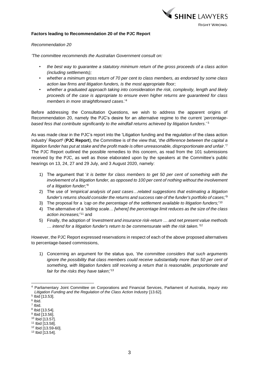

# **Factors leading to Recommendation 20 of the PJC Report**

#### *Recommendation 20*

*'The committee recommends the Australian Government consult on:*

- *the best way to guarantee a statutory minimum return of the gross proceeds of a class action (including settlements);*
- *whether a minimum gross return of 70 per cent to class members, as endorsed by some class action law firms and litigation funders, is the most appropriate floor;*
- *whether a graduated approach taking into consideration the risk, complexity, length and likely proceeds of the case is appropriate to ensure even higher returns are guaranteed for class members in more straightforward cases*.' 4

Before addressing the Consultation Questions, we wish to address the apparent origins of Recommendation 20, namely the PJC's desire for an alternative regime to the current '*percentagebased fess that contribute significantly to the windfall returns achieved by litigation funders*.' 5

As was made clear in the PJC's report into the 'Litigation funding and the regulation of the class action industry' Report<sup>6</sup> (PJC Report), the Committee is of the view that, '*the difference between the capital a litigation funder has put at stake and the profit made is often unreasonable, disproportionate and unfair*.'<sup>7</sup> The PJC Report outlined the possible remedies to this concern, as read from the 101 submissions received by the PJC, as well as those elaborated upon by the speakers at the Committee's public hearings on 13, 24, 27 and 29 July, and 3 August 2020, namely:

- 1) The argument that '*it is better for class members to get 50 per cent of something with the involvement of a litigation funder, as opposed to 100 per cent of nothing without the involvement of a litigation funder;*' 8
- 2) The use of *'empirical analysis of past cases…related suggestions that estimating a litigation funder's returns should consider the returns and success rate of the funder's portfolio of cases;*' 9
- 3) The proposal for a *'cap on the percentage of the settlement available to litigation funders;*' 10
- 4) The alternative of a *'sliding scale… [*where*] the percentage limit reduces as the size of the class*  action increases;<sup>'11</sup> and
- 5) Finally, the adoption of *'investment and insurance risk-return … and net present value methods … intend for a litigation funder's return to be commensurate with the risk taken.'* 12

However, the PJC Report expressed reservations in respect of each of the above proposed alternatives to percentage-based commissions,

1) Concerning an argument for the status quo, '*the committee considers that such arguments ignore the possibility that class members could receive substantially more than 50 per cent of something, with litigation funders still receiving a return that is reasonable, proportionate and fair for the risks they have taken*;'<sup>13</sup>

<sup>4</sup> Parliamentary Joint Committee on Corporations and Financial Services, Parliament of Australia, *Inquiry into Litigation Funding and the Regulation of the Class Action Industry* [13.62].

<sup>5</sup> Ibid [13.53].

<sup>6</sup> Ibid.

<sup>7</sup> Ibid.

<sup>&</sup>lt;sup>8</sup> Ibid [13.54].<br><sup>9</sup> Ibid [13.56].

<sup>10</sup> Ibid [13.57].

<sup>11</sup> Ibid [13.58].

<sup>12</sup> Ibid [13.59-60].

<sup>13</sup> Ibid [13.54].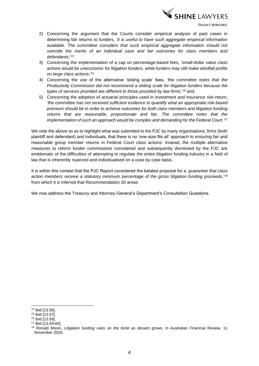

- 2) Concerning the argument that the Courts consider empirical analysis of past cases in determining fair returns to funders, *'it is useful to have such aggregate empirical information available. The committee considers that such empirical aggregate information should not override the merits of an individual case and fair outcomes for class members and defendants*;'<sup>14</sup>
- 3) Concerning the implementation of a cap on percentage-based fees*, 'small-dollar value class actions would be uneconomic for litigation funders, while funders may still make windfall profits on large class actions*;' 15
- 4) Concerning the use of the alternative 'sliding scale' fees*, 'the committee notes that the Productivity Commission did not recommend a sliding scale for litigation funders because the types of services provided are different to those provided by law firms*;' <sup>16</sup> and
- 5) Concerning the adoption of actuarial principles used in investment and insurance risk-return, *'the committee has not received sufficient evidence to quantify what an appropriate risk-based premium should be in order to achieve outcomes for both class members and litigation funding returns that are reasonable, proportionate and fair. The committee notes that the implementation of such an approach would be complex and demanding for the Federal Court.'* 17

We note the above so as to highlight what was submitted to the PJC by many organisations, firms (both plaintiff and defendant) and individuals, that there is no 'one-size fits all' approach to ensuring fair and reasonable group member returns in Federal Court class actions. Instead, the multiple alternative measures to reform funder commissions considered and subsequently dismissed by the PJC are emblematic of the difficulties of attempting to regulate the entire litigation funding industry in a field of law that is inherently nuanced and individualised on a case by case basis.

It is within this context that the PJC Report considered the belated proposal for a '*guarantee that class action members receive a statutory minimum percentage of the gross litigation funding proceeds*,'<sup>18</sup> from which it is inferred that Recommendation 20 arose.

We now address the Treasury and Attorney-General's Department's Consultation Questions.

<sup>14</sup> Ibid [13.56].

<sup>15</sup> Ibid [13.57].

<sup>16</sup> Ibid [13.58].

<sup>17</sup> Ibid [13.59-60].

<sup>18</sup> Ronald Mizen, *Litigation funding rules on the brink as dissent grows*, in Australian Financial Review, 11 November 2020.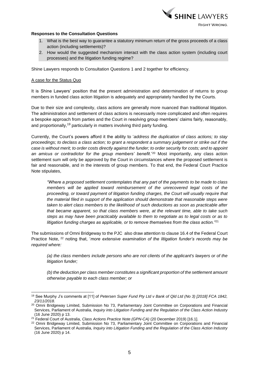

#### **Responses to the Consultation Questions**

- 1. What is the best way to guarantee a statutory minimum return of the gross proceeds of a class action (including settlements)?
- 2. How would the suggested mechanism interact with the class action system (including court processes) and the litigation funding regime?

Shine Lawyers responds to Consultation Questions 1 and 2 together for efficiency.

#### A case for the Status Quo

It is Shine Lawyers' position that the present administration and determination of returns to group members in funded class action litigation is adequately and appropriately handled by the Courts.

Due to their size and complexity, class actions are generally more nuanced than traditional litigation. The administration and settlement of class actions is necessarily more complicated and often requires a bespoke approach from parties and the Court in resolving group members' claims fairly, reasonably, and proportionally,<sup>19</sup> particularly in matters involving third party funding.

Currently, the Court's powers afford it the ability to '*address the duplication of class actions; to stay proceedings; to declass a class action; to grant a respondent a summary judgement or strike out if the case is without merit; to order costs directly against the funder; to order security for costs; and to appoint an amicus or contradictor for the group members' benefit*.'<sup>20</sup> Most importantly, any class action settlement sum will only be approved by the Court in circumstances where the proposed settlement is fair and reasonable, and in the interests of group members. To that end, the Federal Court Practice Note stipulates,

*"Where a proposed settlement contemplates that any part of the payments to be made to class members will be applied toward reimbursement of the unrecovered legal costs of the proceeding, or toward payment of litigation funding charges, the Court will usually require that the material filed in support of the application should demonstrate that reasonable steps were taken to alert class members to the likelihood of such deductions as soon as practicable after that became apparent, so that class members were, at the relevant time, able to take such steps as may have been practicably available to them to negotiate as to legal costs or as to litigation funding charges as applicable, or to remove themselves from the class action."*<sup>21</sup>

The submissions of Omni Bridgeway to the PJC also draw attention to clause 16.4 of the Federal Court Practice Note, <sup>22</sup> noting that, '*more extensive examination of the litigation funder's records may be required where:*

*(a) the class members include persons who are not clients of the applicant's lawyers or of the litigation funder;* 

*(b) the deduction per class member constitutes a significant proportion of the settlement amount otherwise payable to each class member; or* 

<sup>19</sup> See Murphy J's comments at [11] of *Petersen Super Fund Pty Ltd v Bank of Qld Ltd (No 3) [2018] FCA 1842, 23/11/2018.*

<sup>&</sup>lt;sup>20</sup> Omni Bridgeway Limited, Submission No 73, Parliamentary Joint Committee on Corporations and Financial Services, Parliament of Australia, *Inquiry into Litigation Funding and the Regulation of the Class Action Industry*  (16 June 2020) p 13.

<sup>&</sup>lt;sup>21</sup> Federal Court of Australia, *Class Actions Practice Note (GPN-CA)* (20 December 2019) [16.1].

<sup>&</sup>lt;sup>22</sup> Omni Bridgeway Limited, Submission No 73, Parliamentary Joint Committee on Corporations and Financial Services, Parliament of Australia, *Inquiry into Litigation Funding and the Regulation of the Class Action Industry*  (16 June 2020) p 14.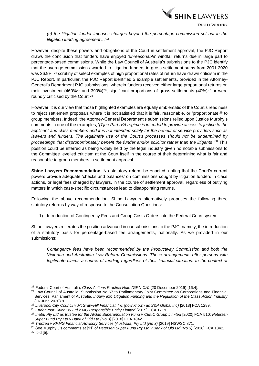

*(c) the litigation funder imposes charges beyond the percentage commission set out in the litigation funding agreement…*' 23

However, despite these powers and obligations of the Court in settlement approval, the PJC Report draws the conclusion that funders have enjoyed '*unreasonable*' windfall returns due in large part to percentage-based commissions. While the Law Council of Australia's submissions to the PJC identify that the average commission awarded to litigation funders in gross settlement sums from 2001-2020 was 26.9%,<sup>24</sup> scrutiny of select examples of high proportional rates of return have drawn criticism in the PJC Report. In particular, the PJC Report identified 5 example settlements, provided in the Attorney-General's Department PJC submissions, wherein funders received either large proportional returns on their investment (460%<sup>25</sup> and 390%)<sup>26</sup>, significant proportions of gross settlements (40%)<sup>27</sup> or were roundly criticised by the Court.<sup>28</sup>

However, it is our view that those highlighted examples are equally emblematic of the Court's readiness to reject settlement proposals where it is not satisfied that it is fair, reasonable, or 'proportionate'<sup>29</sup> to group members. Indeed, the Attorney-General Department's submissions relied upon Justice Murphy's comments in one of the examples, '*[T]he Part IVA regime is intended to provide access to justice to the applicant and class members and it is not intended solely for the benefit of service providers such as lawyers and funders. The legitimate use of the Court's processes should not be undermined by proceedings that disproportionately benefit the funder and/or solicitor rather than the litigants*.'<sup>30</sup> This position could be inferred as being widely held by the legal industry given no notable submissions to the Committee levelled criticism at the Court itself in the course of their determining what is fair and reasonable to group members in settlement approval.

**Shine Lawyers Recommendation**: No statutory reform be enacted, noting that the Court's current powers provide adequate 'checks and balances' on commissions sought by litigation funders in class actions, or legal fees charged by lawyers, in the course of settlement approval, regardless of outlying matters in which case-specific circumstances lead to disappointing returns.

Following the above recommendation, Shine Lawyers alternatively proposes the following three statutory reforms by way of response to the Consultation Questions:

1) Introduction of Contingency Fees and Group Costs Orders into the Federal Court system

Shine Lawyers reiterates the position advanced in our submissions to the PJC, namely, the introduction of a statutory basis for percentage-based fee arrangements, nationally. As we provided in our submissions:

*Contingency fees have been recommended by the Productivity Commission and both the Victorian and Australian Law Reform Commissions. These arrangements offer persons with*  legitimate claims a source of funding regardless of their financial situation. In the context of

<sup>30</sup> Ibid [5].

<sup>23</sup> Federal Court of Australia, *Class Actions Practice Note (GPN-CA)* (20 December 2019) [16.4].

<sup>24</sup> Law Council of Australia, Submission No 67 to Parliamentary Joint Committee on Corporations and Financial Services, Parliament of Australia, *Inquiry into Litigation Funding and the Regulation of the Class Action Industry* (16 June 2020) 8.

<sup>&</sup>lt;sup>25</sup> Liverpool City Council v McGraw-Hill Financial, Inc (now known as S&P Global Inc) [2018] FCA 1289.

<sup>&</sup>lt;sup>26</sup> Endeavour River Pty Ltd v MG Responsible Entity Limited [2019] FCA 1719.

<sup>27</sup> *Inabu Pty Ltd as trustee for the Alidas Superannuation Fund v CIMIC Group Limited* [2020] FCA 510; *Petersen Super Fund Pty Ltd v Bank of Qld Ltd (No 3)* [2018] FCA 1842*.* 

<sup>&</sup>lt;sup>28</sup> Tredrea v KPMG Financial Advisory Services (Australia) Pty Ltd (No 3) [2019] NSWSC 871.

<sup>&</sup>lt;sup>29</sup> See Murphy J's comments at [11] of *Petersen Super Fund Pty Ltd v Bank of Qld Ltd (No 3)* [2018] FCA 1842.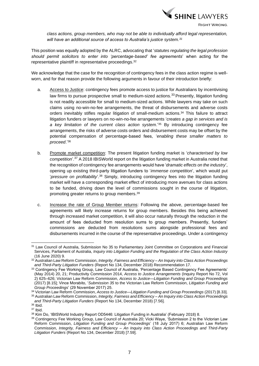

*class actions, group members, who may not be able to individually afford legal representation, will have an additional source of access to Australia's justice system.<sup>31</sup>*

This position was equally adopted by the ALRC, advocating that '*statutes regulating the legal profession should permit solicitors to enter into 'percentage-based' fee agreements*' when acting for the representative plaintiff in representative proceedings. 32

We acknowledge that the case for the recognition of contingency fees in the class action regime is wellworn, and for that reason provide the following arguments in favour of their introduction briefly:

- a. Access to Justice: contingency fees promote access to justice for Australians by incentivising law firms to pursue prospective small to medium-sized actions.<sup>33</sup> Presently, litigation funding is not readily accessible for small to medium-sized actions. While lawyers may take on such claims using no-win-no-fee arrangements, the threat of disbursements and adverse costs orders inevitably stifles regular litigation of small-medium actions. <sup>34</sup> This failure to attract litigation funders or lawyers on no-win-no-fee arrangements '*creates a gap in services and is a key limitation of the current class action system*.'<sup>35</sup> By introducing contingency fee arrangements, the risks of adverse costs orders and disbursement costs may be offset by the potential compensation of percentage-based fees, '*enabling these smaller matters to proceed*.' 36
- b. Promote market competition: The present litigation funding market is '*characterised by low competition*'.<sup>37</sup> A 2018 IBISWorld report on the litigation funding market in Australia noted that the recognition of contingency fee arrangements would have '*dramatic effects on the industry*', opening up existing third-party litigation funders to '*immense competition*', which would put '*pressure on profitability*'.<sup>38</sup> Simply, introducing contingency fees into the litigation funding market will have a corresponding market effect of introducing more avenues for class actions to be funded, driving down the level of commissions sought in the course of litigation, promoting greater returns to group members. 39
- c. Increase the rate of Group Member returns: Following the above, percentage-based fee agreements will likely increase returns for group members. Besides this being achieved through increased market competition, it will also occur naturally through the reduction in the amount of fees deducted from resolution sums to group members. Presently, funders' commissions are deducted from resolutions sums alongside professional fees and disbursements incurred in the course of the representative proceedings. Under a contingency

<sup>31</sup> Law Council of Australia, Submission No 35 to Parliamentary Joint Committee on Corporations and Financial Services, Parliament of Australia, *Inquiry into Litigation Funding and the Regulation of the Class Action Industry*  (16 June 2020) 9.

<sup>32</sup> Australian Law Reform Commission, *Integrity, Fairness and Efficiency – An Inquiry into Class Action Proceedings and Third-Party Litigation Funders* (Report No 134, December 2018) Recommendation 17.

<sup>33</sup> Contingency Fee Working Group, Law Council of Australia, 'Percentage Based Contingency Fee Agreements' (May 2014) 20, 21; Productivity Commission 2014, *Access to Justice Arrangements* (Inquiry Report No 72, Vol 2) 625–626; Victorian Law Reform Commission, *Access to Justice—Litigation Funding and Group Proceedings*  (2017) [8.15]; Vince Morabito, '*Submission 35* to the Victorian Law Reform Commission, *Litigation Funding and Group Proceedings*' (29 November 2017) 25.

<sup>34</sup> Victorian Law Reform Commission, *Access to Justice—Litigation Funding and Group Proceedings* (2017) [8.33]. <sup>35</sup> Australian Law Reform Commission, *Integrity, Fairness and Efficiency – An Inquiry into Class Action Proceedings* 

*and Third-Party Litigation Funders* (Report No 134, December 2018) [7.56].

<sup>36</sup> Ibid.

<sup>37</sup> Ibid.

<sup>38</sup> Kim Do, 'IBISWorld Industry Report OD5446: Litigation Funding in Australia' (February 2018) 8.

<sup>39</sup> Contingency Fee Working Group, Law Council of Australia 20; Vicki Waye, 'Submission 2 to the Victorian Law Reform Commission, *Litigation Funding and Group Proceedings*' (18 July 2017) 6; Australian Law Reform Commission, *Integrity, Fairness and Efficiency – An Inquiry into Class Action Proceedings and Third-Party Litigation Funders* (Report No 134, December 2018) [7.59].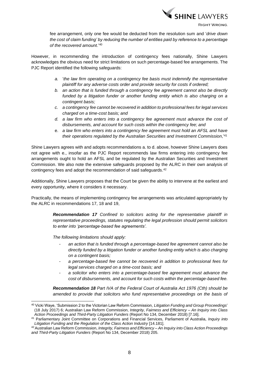

fee arrangement, only one fee would be deducted from the resolution sum and '*drive down the cost of claim funding' by reducing the number of entities paid by reference to a percentage of the recovered amount*.' 40

However, in recommending the introduction of contingency fees nationally, Shine Lawyers acknowledges the obvious need for strict limitations on such percentage-based fee arrangements. The PJC Report identified the following safeguards:

- *a.* '*the law firm operating on a contingency fee basis must indemnify the representative plaintiff for any adverse costs order and provide security for costs if ordered;*
- *b. an action that is funded through a contingency fee agreement cannot also be directly funded by a litigation funder or another funding entity which is also charging on a contingent basis;*
- *c. a contingency fee cannot be recovered in addition to professional fees for legal services charged on a time-cost basis; and*
- *d. a law firm who enters into a contingency fee agreement must advance the cost of disbursements, and account for such costs within the contingency fee; and*
- e. *a law firm who enters into a contingency fee agreement must hold an AFSL and have their operations regulated by the Australian Securities and Investment Commission*,' 41

Shine Lawyers agrees with and adopts recommendations a. to d. above, however Shine Lawyers does not agree with e., insofar as the PJC Report recommends law firms entering into contingency fee arrangements ought to hold an AFSL and be regulated by the Australian Securities and Investment Commission. We also note the extensive safeguards proposed by the ALRC in their own analysis of contingency fees and adopt the recommendation of said safeguards. 42

Additionally, Shine Lawyers proposes that the Court be given the ability to intervene at the earliest and every opportunity, where it considers it necessary.

Practically, the means of implementing contingency fee arrangements was articulated appropriately by the ALRC in recommendations 17, 18 and 19,

> *Recommendation 17 Confined to solicitors acting for the representative plaintiff in representative proceedings, statutes regulating the legal profession should permit solicitors to enter into 'percentage-based fee agreements'.*

*The following limitations should apply:* 

- *- an action that is funded through a percentage-based fee agreement cannot also be directly funded by a litigation funder or another funding entity which is also charging on a contingent basis;*
- *- a percentage-based fee cannot be recovered in addition to professional fees for legal services charged on a time-cost basis; and*
- *- a solicitor who enters into a percentage-based fee agreement must advance the cost of disbursements, and account for such costs within the percentage-based fee.*

*Recommendation 18 Part IVA of the Federal Court of Australia Act 1976 (Cth) should be amended to provide that solicitors who fund representative proceedings on the basis of* 

<sup>40</sup> Vicki Waye, 'Submission 2 to the Victorian Law Reform Commission, *Litigation Funding and Group Proceedings*' (18 July 2017) 6; Australian Law Reform Commission, *Integrity, Fairness and Efficiency – An Inquiry into Class Action Proceedings and Third-Party Litigation Funders* (Report No 134, December 2018) [7.16].

<sup>41</sup> Parliamentary Joint Committee on Corporations and Financial Services, Parliament of Australia, *Inquiry into Litigation Funding and the Regulation of the Class Action Industry* [14.181].

<sup>42</sup>Australian Law Reform Commission, *Integrity, Fairness and Efficiency – An Inquiry into Class Action Proceedings and Third-Party Litigation Funders* (Report No 134, December 2018) 205.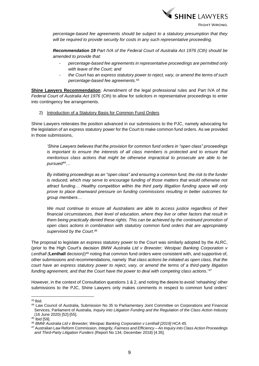

*percentage-based fee agreements should be subject to a statutory presumption that they will be required to provide security for costs in any such representative proceeding.* 

*Recommendation 19 Part IVA of the Federal Court of Australia Act 1976 (Cth) should be amended to provide that:* 

- *- percentage-based fee agreements in representative proceedings are permitted only with leave of the Court; and*
- *- the Court has an express statutory power to reject, vary, or amend the terms of such percentage-based fee agreements.*<sup>43</sup>

**Shine Lawyers Recommendation**: Amendment of the legal professional rules and Part IVA of the *Federal Court of Australia Act 1976* (Cth) to allow for solicitors in representative proceedings to enter into contingency fee arrangements.

#### 2) Introduction of a Statutory Basis for Common Fund Orders

Shine Lawyers reiterates the position advanced in our submissions to the PJC, namely advocating for the legislation of an express statutory power for the Court to make common fund orders. As we provided in those submissions,

*'Shine Lawyers believes that the provision for common fund orders in "open class" proceedings is important to ensure the interests of all class members is protected and to ensure that meritorious class actions that might be otherwise impractical to prosecute are able to be pursued<sup>44</sup>…*

*By initiating proceedings as an "open class" and ensuring a common fund, the risk to the funder is reduced, which may serve to encourage funding of those matters that would otherwise not attract funding… Healthy competition within the third party litigation funding space will only prove to place downward pressure on funding commissions resulting in better outcomes for group members…*

*We must continue to ensure all Australians are able to access justice regardless of their financial circumstances, their level of education, where they live or other factors that result in them being practically denied these rights. This can be achieved by the continued promotion of open class actions in combination with statutory common fund orders that are appropriately supervised by the Court. 45*

The proposal to legislate an express statutory power to the Court was similarly adopted by the ALRC, (prior to the High Court's decision *BMW Australia Ltd v Brewster; Westpac Banking Corporation v*  Lenthall (Lenthall decision)<sup>46</sup> noting that common fund orders were consistent with, and supportive of, other submissions and recommendations, namely *'that class actions be initiated as open class, that the court have an express statutory power to reject, vary, or amend the terms of a third-party litigation funding agreement, and that the Court have the power to deal with competing class actions*.' 47

However, in the context of Consultation questions 1 & 2, and noting the desire to avoid 'rehashing' other submissions to the PJC, Shine Lawyers only makes comments in respect to common fund orders'

<sup>43</sup> Ibid.

<sup>44</sup> Law Council of Australia, Submission No 35 to Parliamentary Joint Committee on Corporations and Financial Services, Parliament of Australia, *Inquiry into Litigation Funding and the Regulation of the Class Action Industry*  (16 June 2020) [52]-[55].

 $45$  Ibid [59].

<sup>46</sup> *BMW Australia Ltd v Brewster; Westpac Banking Corporation v Lenthall [2019] HCA 45.*

<sup>47</sup> Australian Law Reform Commission, *Integrity, Fairness and Efficiency – An Inquiry into Class Action Proceedings and Third-Party Litigation Funders* (Report No 134, December 2018) [4.35].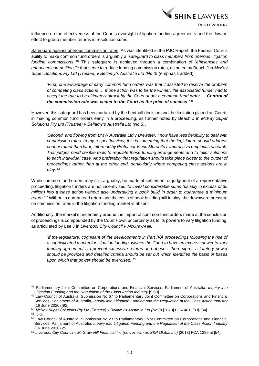

influence on the effectiveness of the Court's oversight of ligation funding agreements and the flow on effect to group member returns in resolution sums.

Safeguard against onerous commission rates: As was identified in the PJC Report, the Federal Court's ability to make common fund orders is arguably a '*safeguard to class members from onerous litigation*  funding commissions.<sup>'48</sup> This safeguard is achieved through a combination of '*efficiencies and enhanced competition*,'<sup>49</sup> that serve to reduce funding commission rates, as noted by Beach J in *McKay Super Solutions Pty Ltd (Trustee) v Bellamy's Australia Ltd (No 3)* (emphasis added)*,*

*'First, one advantage of early common fund orders was that it assisted to resolve the problem of competing class actions … If one action was to be the winner, the associated funder had to accept the rate to be ultimately struck by the Court under a common fund order … Control of the commission rate was ceded to the Court as the price of success.'* 50

However, this safeguard has been curtailed by the Lenthall decision and the limitation placed on Courts in making common fund orders early in a proceeding, as further noted by Beach J in *McKay Super Solutions Pty Ltd (Trustee) v Bellamy's Australia Ltd (No 3)*,

*'Second, and flowing from BMW Australia Ltd v Brewster, I now have less flexibility to deal with commission rates. In my respectful view, this is something that the legislature should address sooner rather than later, informed by Professor Vince Morabito's impressive empirical research. Trial judges need flexible tools to regulate these funding arrangements and to tailor solutions to each individual case. And preferably that regulation should take place closer to the outset of proceedings rather than at the other end, particularly where competing class actions are in play.'*<sup>51</sup>

While common fund orders may still, arguably, be made at settlement or judgment of a representative proceeding, litigation funders are not incentivised '*to invest considerable sums (usually in excess of \$5 million) into a class action without also undertaking a book build in order to guarantee a minimum return*.'<sup>52</sup> Without a guaranteed return and the costs of book building still in play, the downward pressure on commission rates in the litigation funding market is absent.

Additionally, the market's uncertainty around the import of common fund orders made at the conclusion of proceedings is compounded by the Court's own uncertainty as to its powers to vary litigation funding, as articulated by Lee J in *Liverpool City Council v McGraw-Hill*,

*'If the legislature, cognisant of the developments in Part IVA proceedings following the rise of a sophisticated market for litigation funding, wishes the Court to have an express power to vary funding agreements to prevent excessive returns and abuses, then express statutory power should be provided and detailed criteria should be set out which identifies the basis or bases upon which that power should be exercised.*' 53

<sup>48</sup> Parliamentary Joint Committee on Corporations and Financial Services, Parliament of Australia, *Inquiry into Litigation Funding and the Regulation of the Class Action Industry* [9.69].

<sup>49</sup> Law Council of Australia, Submission No 67 to Parliamentary Joint Committee on Corporations and Financial Services, Parliament of Australia, *Inquiry into Litigation Funding and the Regulation of the Class Action Industry*  (16 June 2020) [92].

<sup>&</sup>lt;sup>50</sup> McKay Super Solutions Pty Ltd (Trustee) v Bellamy's Australia Ltd (No 3) [2020] FCA 461, [33]-[34].

<sup>51</sup> Ibid.

<sup>52</sup> Law Council of Australia, Submission No 23 to Parliamentary Joint Committee on Corporations and Financial Services, Parliament of Australia, *Inquiry into Litigation Funding and the Regulation of the Class Action Industry*  (16 June 2020) 25.

<sup>53</sup> Liverpool City Council v McGraw-Hill Financial Inc (now known as S&P Global Inc) [2018] FCA 1289 at [54].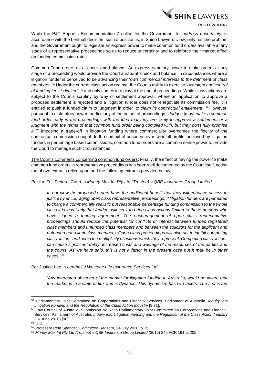

While the PJC Report's Recommendation 7 called for the Government to '*address uncertainty*' in accordance with the Lenthall decision, such a position is, in Shine Lawyers' view, only half the problem and the Government ought to legislate an express power to make common fund orders available at any stage of a representative proceedings so as to reduce uncertainty and to reinforce their market effect on funding commission rates.

Common Fund orders as a 'check and balance': An express statutory power to make orders at any stage of a proceeding would provide the Court a natural 'check and balance' in circumstances where a litigation funder is perceived to be advancing their '*own commercial interests to the detriment of class members*.'<sup>54</sup> Under the current class action regime, the Court's ability to exercise '*oversight and control of funding fees is limited*,' <sup>55</sup> and only comes into play at the end of proceedings. While class actions are subject to the Court's scrutiny by way of settlement approval, where an application to approve a proposed settlement is rejected and a litigation funder does not renegotiate its commission fee, it is entitled to push a funded claim to judgment in order '*to claim its contractual entitlement.*' <sup>56</sup> However, pursuant to a statutory power, particularly at the outset of proceedings, '*Judges* [may] *make a common fund order early in the proceedings with the idea that they are likely to approve a settlement or a judgment with the terms of that common fund order being complied with, but they don't fully promise it*,'<sup>57</sup> imposing a trade-off in litigation funding where commerciality overcomes the fidelity of the contractual commission sought. In the context of concerns over 'windfall profits' achieved by litigation funders in percentage based commissions, common fund orders are a common sense power to provide the Court to manage such circumstances.

The Court's comments concerning common fund orders: Finally, the effect of having the power to make common fund orders in representative proceedings has been well documented by the Court itself, noting the above extracts relied upon and the following extracts provided below,

Per the Full Federal Court in *Money Max Int Pty Ltd (Trustee) v QBE Insurance Group Limited,*

*In our view the proposed orders have the additional benefit that they will enhance access to justice by encouraging open class representative proceedings. If litigation funders are permitted to charge a commercially realistic but reasonable percentage funding commission to the whole class it is less likely that funders will seek to bring class actions limited to those persons who have signed a funding agreement. The encouragement of open class representative proceedings should reduce the potential for conflicts of interest between funded registered class members and unfunded class members and between the solicitors for the applicant and unfunded non-client class members. Open class proceedings will also act to inhibit competing class actions and avoid the multiplicity of actions which they represent. Competing class actions can cause significant delay, increased costs and wastage of the resources of the parties and the courts. As we have said, this is not a factor in the present case but it may be in other cases*.'<sup>58</sup>

Per Justice Lee in *Lenthall v Westpac Life Insurance Services Ltd,*

'*Any interested observer of the market for litigation funding in Australia, would be aware that the market is in a state of flux and is dynamic. This dynamism has two facets. The first is the* 

<sup>54</sup> Parliamentary Joint Committee on Corporations and Financial Services, Parliament of Australia, *Inquiry into Litigation Funding and the Regulation of the Class Action Industry* [9.71].

<sup>55</sup> Law Council of Australia, Submission No 67 to Parliamentary Joint Committee on Corporations and Financial Services, Parliament of Australia, *Inquiry into Litigation Funding and the Regulation of the Class Action Industry*  (16 June 2020) [90].

 $56$  Ibid.

<sup>57</sup> Professor Peta Spender, *Committee Hansard*, 24 July 2020, p. 22.

<sup>&</sup>lt;sup>58</sup> Money Max Int Pty Ltd (Trustee) v QBE Insurance Group Limited (2016) 245 FCR 191 at 205.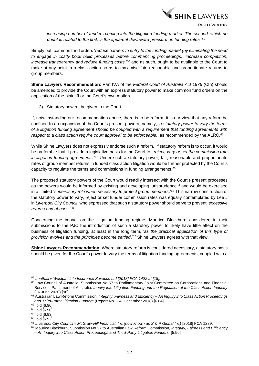

*increasing number of funders coming into the litigation funding market. The second, which no doubt is related to the first, is the apparent downward pressure on funding rates.'<sup>59</sup>*

Simply put, common fund orders '*reduce barriers to entry to the funding market (by eliminating the need to engage in costly book build processes before commencing proceedings), increase competition, increase transparency and reduce funding costs,'*<sup>60</sup> and as such, ought to be available to the Court to make at any point in a class action so as to maximise fair, reasonable and proportionate returns to group members.

**Shine Lawyers Recommendation**: Part IVA of the *Federal Court of Australia Act 1976* (Cth) should be amended to provide the Court with an express statutory power to make common fund orders on the application of the plaintiff or the Court's own motion.

3) Statutory powers be given to the Court

If, notwithstanding our recommendation above, there is to be reform, it is our view that any reform be confined to an expansion of the Court's present powers, namely, '*a statutory power to vary the terms of a litigation funding agreement should be coupled with a requirement that funding agreements with*  respect to a class action require court approval to be enforceable,' as recommended by the ALRC.<sup>61</sup>

While Shine Lawyers does not expressly endorse such a reform, if statutory reform is to occur, it would be preferable that it provide a legislative basis for the Court to, '*reject, vary or set the commission rate*  in litigation funding agreements.<sup>'62</sup> Under such a statutory power, fair, reasonable and proportionate rates of group member returns in funded class action litigation would be further protected by the Court's capacity to regulate the terms and commissions in funding arrangements.<sup>63</sup>

The proposed statutory powers of the Court would readily intersect with the Court's present processes as the powers would be informed by existing and developing jurisprudence $64$  and would be exercised in a limited '*supervisory role when necessary to protect group members*.' <sup>65</sup> This narrow construction of the statutory power to vary, reject or set funder commission rates was equally contemplated by Lee J in *Liverpool City Council*, who expressed that such a statutory power should serve to prevent '*excessive returns and abuses*.'<sup>66</sup>

Concerning the impact on the litigation funding regime, Maurice Blackburn considered in their submissions to the PJC the introduction of such a statutory power to likely have little effect on the business of litigation funding, at least in the long term, '*as the practical application of this type of provision evolves and the principles become settled*.'<sup>67</sup> Shine Lawyers agrees with that view.

**Shine Lawyers Recommendation**: Where statutory reform is considered necessary, a statutory basis should be given for the Court's power to vary the terms of litigation funding agreements, coupled with a

<sup>59</sup> *Lenthall v Westpac Life Insurance Services Ltd [2018] FCA 1422 at [18].*

<sup>60</sup> Law Council of Australia, Submission No 67 to Parliamentary Joint Committee on Corporations and Financial Services, Parliament of Australia, *Inquiry into Litigation Funding and the Regulation of the Class Action Industry*  (16 June 2020) [96].

<sup>61</sup> Australian Law Reform Commission, *Integrity, Fairness and Efficiency – An Inquiry into Class Action Proceedings and Third-Party Litigation Funders* (Report No 134, December 2018) [6.84].

<sup>62</sup> Ibid [6.90].

<sup>63</sup> Ibid [6.90].

<sup>64</sup> Ibid [6.93].

<sup>65</sup> Ibid [6.92].

<sup>66</sup> *Liverpool City Council v McGraw-Hill Financial, Inc (now known as S & P Global Inc)* [2018] FCA 1289.

<sup>67</sup> Maurice Blackburn, Submission No 37 to Australian Law Reform Commission, *Integrity, Fairness and Efficiency – An Inquiry into Class Action Proceedings and Third-Party Litigation Funders,* [5.56].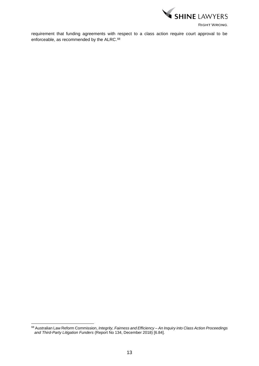

requirement that funding agreements with respect to a class action require court approval to be enforceable, as recommended by the ALRC. 68

<sup>68</sup> Australian Law Reform Commission, *Integrity, Fairness and Efficiency – An Inquiry into Class Action Proceedings and Third-Party Litigation Funders* (Report No 134, December 2018) [6.84].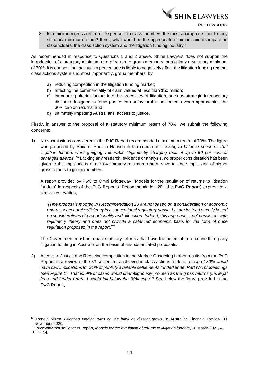

3. Is a minimum gross return of 70 per cent to class members the most appropriate floor for any statutory minimum return? If not, what would be the appropriate minimum and its impact on stakeholders, the class action system and the litigation funding industry?

As recommended in response to Questions 1 and 2 above, Shine Lawyers does not support the introduction of a statutory minimum rate of return to group members, particularly a statutory minimum of 70%. It is our position that such a percentage is liable to negatively affect the litigation funding regime, class actions system and most importantly, group members, by:

- a) reducing competition in the litigation funding market;
- b) affecting the commerciality of claim valued at less than \$50 million;
- c) introducing ulterior factors into the processes of litigation, such as strategic interlocutory disputes designed to force parties into unfavourable settlements when approaching the 30% cap on returns; and
- d) ultimately impeding Australians' access to justice.

Firstly, in answer to the proposal of a statutory minimum return of 70%, we submit the following concerns:

1) No submissions considered in the PJC Report recommended a minimum return of 70%. The figure was proposed by Senator Pauline Hanson in the course of '*seeking to balance concerns that*  litigation funders were gouging vulnerable litigants by charging fees of up to 50 per cent of *damages awards*.'<sup>69</sup> Lacking any research, evidence or analysis, no proper consideration has been given to the implications of a 70% statutory minimum return, save for the simple idea of higher gross returns to group members.

A report provided by PwC to Omni Bridgeway, 'Models for the regulation of returns to litigation funders' in respect of the PJC Report's 'Recommendation 20' (the **PwC Report**) expressed a similar reservation,

*'[T]he proposals mooted in Recommendation 20 are not based on a consideration of economic returns or economic efficiency in a conventional regulatory sense, but are instead directly based on considerations of proportionality and allocation. Indeed, this approach is not consistent with regulatory theory and does not provide a balanced economic basis for the form of price regulation proposed in the report*.'<sup>70</sup>

The Government must not enact statutory reforms that have the potential to re-define third party litigation funding in Australia on the basis of unsubstantiated proposals.

2) Access to Justice and Reducing competition in the Market: Observing further results from the PwC Report, in a review of the 33 settlements achieved in class actions to date, a '*cap of 30% would have had implications for 91% of publicly available settlements funded under Part IVA proceedings (see Figure 1). That is, 9% of cases would unambiguously proceed as the gross returns (i.e. legal fees and funder returns) would fall below the 30% caps*. <sup>71</sup> See below the figure provided in the PwC Report,

<sup>69</sup> Ronald Mizen, *Litigation funding rules on the brink as dissent grows*, in Australian Financial Review, 11 November 2020.

<sup>70</sup> PriceWaterhouseCoopers Report, *Models for the regulation of returns to litigation funders*, 16 March 2021, 4.

<sup>71</sup> Ibid 14.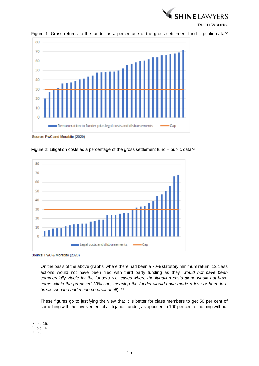



Figure 1: Gross returns to the funder as a percentage of the gross settlement fund – public data<sup>72</sup>

Source: PwC and Morabito (2020)



Figure 2: Litigation costs as a percentage of the gross settlement fund – public data<sup>73</sup>

Source: PwC & Morabito (2020)

On the basis of the above graphs, where there had been a 70% statutory minimum return, 12 class actions would not have been filed with third party funding as they '*would not have been commercially viable for the funders (i.e. cases where the litigation costs alone would not have come within the proposed 30% cap, meaning the funder would have made a loss or been in a break scenario and made no profit at all*).' 74

These figures go to justifying the view that it is better for class members to get 50 per cent of something with the involvement of a litigation funder, as opposed to 100 per cent of nothing without

<sup>72</sup> Ibid 15.

<sup>73</sup> Ibid 16.

<sup>74</sup> Ibid.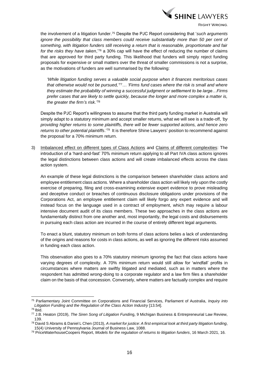

the involvement of a litigation funder. <sup>75</sup> Despite the PJC Report considering that '*such arguments ignore the possibility that class members could receive substantially more than 50 per cent of something, with litigation funders still receiving a return that is reasonable, proportionate and fair*  for the risks they have taken,<sup>76</sup> a 30% cap will have the effect of reducing the number of claims that are approved for third party funding. This likelihood that funders will simply reject funding proposals for expensive or small matters over the threat of smaller commissions is not a surprise, as the motivations of funders are well summarised by the following:

*'While litigation funding serves a valuable social purpose when it finances meritorious cases that otherwise would not be pursued,'* <sup>77</sup>*… 'Firms fund cases where the risk is small and where they estimate the probability of winning a successful judgment or settlement to be large…Firms prefer cases that are likely to settle quickly, because the longer and more complex a matter is, the greater the firm's risk.'*<sup>78</sup>

Despite the PJC Report's willingness to assume that the third party funding market in Australia will simply adapt to a statutory minimum and accept smaller returns, what we will see is a trade-off, *'by providing higher returns to some plaintiffs, there will be fewer supported actions, and hence zero*  returns to other potential plaintiffs.<sup>'79</sup> It is therefore Shine Lawyers' position to recommend against the proposal for a 70% minimum return.

3) Imbalanced effect on different types of Class Actions and Claims of different complexities: The introduction of a 'hard-and-fast' 70% minimum return applying to all Part IVA class actions ignores the legal distinctions between class actions and will create imbalanced effects across the class action system.

An example of these legal distinctions is the comparison between shareholder class actions and employee entitlement class actions. Where a shareholder class action will likely rely upon the costly exercise of preparing, filing and cross-examining extensive expert evidence to prove misleading and deceptive conduct or breaches of continuous disclosure obligations under provisions of the Corporations Act, an employee entitlement claim will likely forgo any expert evidence and will instead focus on the language used in a contract of employment, which may require a labour intensive document audit of its class members. These two approaches in the class actions are fundamentally distinct from one another and, most importantly, the legal costs and disbursements in pursuing each class action are incurred in the course of entirely different legal arguments.

To enact a blunt, statutory minimum on both forms of class actions belies a lack of understanding of the origins and reasons for costs in class actions, as well as ignoring the different risks assumed in funding each class action.

This observation also goes to a 70% statutory minimum ignoring the fact that class actions have varying degrees of complexity. A 70% minimum return would still allow for 'windfall' profits in circumstances where matters are swiftly litigated and mediated, such as in matters where the respondent has admitted wrong-doing to a corporate regulator and a law firm files a shareholder claim on the basis of that concession. Conversely, where matters are factually complex and require

<sup>75</sup> Parliamentary Joint Committee on Corporations and Financial Services, Parliament of Australia, *Inquiry into Litigation Funding and the Regulation of the Class Action Industry* [13.54].

 $76$  Ibid.

<sup>77</sup> J.B. Heaton (2019), *The Siren Song of Litigation Fundin*g, 9 Michigan Business & Entrepreneurial Law Review, 139.

<sup>78</sup> David S Abrams & Daniel L Chen (2013), *A market for justice: A first empirical look at third party litigation funding*, 15(4) University of Pennsylvania Journal of Business Law, 1088.

<sup>79</sup> PriceWaterhouseCoopers Report, *Models for the regulation of returns to litigation funders*, 16 March 2021, 16.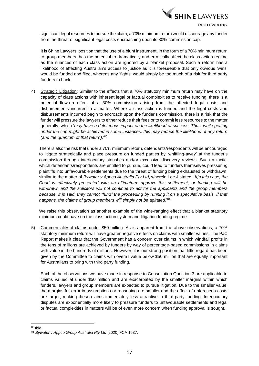

significant legal resources to pursue the claim, a 70% minimum return would discourage any funder from the threat of significant legal costs encroaching upon its 30% commission cap.

It is Shine Lawyers' position that the use of a blunt instrument, in the form of a 70% minimum return to group members, has the potential to dramatically and erratically affect the class action regime as the nuances of each class action are ignored by a blanket proposal. Such a reform has a likelihood of effecting Australian's access to justice as it is foreseeable that only obvious 'wins' would be funded and filed, whereas any 'fights' would simply be too much of a risk for third party funders to back.

4) Strategic Litigation: Similar to the effects that a 70% statutory minimum return may have on the capacity of class actions with inherent legal or factual complexities to receive funding, there is a potential flow-on effect of a 30% commission arising from the affected legal costs and disbursements incurred in a matter. Where a class action is funded and the legal costs and disbursements incurred begin to encroach upon the funder's commission, there is a risk that the funder will pressure the lawyers to either reduce their fees or to commit less resources to the matter generally, which '*may have a deleterious impact on the likelihood of success. Thus, while getting under the cap might be achieved in some instances, this may reduce the likelihood of any return (and the quantum of that return)*.'<sup>80</sup>

There is also the risk that under a 70% minimum return, defendants/respondents will be encouraged to litigate strategically and place pressure on funded parties by 'whittling-away' at the funder's commission through interlocutory stoushes and/or excessive discovery reviews. Such a tactic, which defendants/respondents are entitled to pursue, could lead to funders themselves pressuring plaintiffs into unfavourable settlements due to the threat of funding being exhausted or withdrawn, similar to the matter of *Bywater v Appco Australia Pty Ltd*, wherein Lee J stated, '*[I]n this case, the Court is effectively presented with an ultimatum: approve this settlement, or funding will be withdrawn and the solicitors will not continue to act for the applicants and the group members because, it is said, they cannot "fund" the proceeding by running it on a speculative basis. If that happens, the claims of group members will simply not be agitated.*' 81

We raise this observation as another example of the wide-ranging effect that a blanket statutory minimum could have on the class action system and litigation funding regime.

5) Commerciality of claims under \$50 million: As is apparent from the above observations, a 70% statutory minimum return will have greater negative effects on claims with smaller values. The PJC Report makes it clear that the Government has a concern over claims in which windfall profits in the tens of millions are achieved by funders by way of percentage-based commissions in claims with value in the hundreds of millions. However, it is our strong position that little regard has been given by the Committee to claims with overall value below \$50 million that are equally important for Australians to bring with third party funding.

Each of the observations we have made in response to Consultation Question 3 are applicable to claims valued at under \$50 million and are exacerbated by the smaller margins within which funders, lawyers and group members are expected to pursue litigation. Due to the smaller value, the margins for error in assumptions or reasoning are smaller and the effect of unforeseen costs are larger, making these claims immediately less attractive to third-party funding. Interlocutory disputes are exponentially more likely to pressure funders to unfavourable settlements and legal or factual complexities in matters will be of even more concern when funding approval is sought.

 $80$  Ibid.

<sup>81</sup> *Bywater v Appco Group Australia Pty Ltd* [2020] FCA 1537.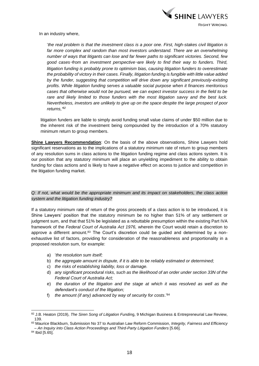

In an industry where,

'*the real problem is that the investment class is a poor one. First, high-stakes civil litigation is*  far more complex and random than most investors understand. There are an overwhelming *number of ways that litigants can lose and far fewer paths to significant victories. Second, few good cases*—*from an investment perspective*—*are likely to find their way to funders. Third, litigation funding is probably prone to optimism bias, causing litigation funders to overestimate the probability of victory in their cases. Finally, litigation funding is fungible with little value added by the funder, suggesting that competition will drive down any significant previously-existing profits. While litigation funding serves a valuable social purpose when it finances meritorious cases that otherwise would not be pursued, we can expect investor success in the field to be rare and likely limited to those funders with the most litigation savvy and the best luck. Nevertheless, investors are unlikely to give up on the space despite the large prospect of poor returns,'<sup>82</sup>*

litigation funders are liable to simply avoid funding small value claims of under \$50 million due to the inherent risk of the investment being compounded by the introduction of a 70% statutory minimum return to group members.

**Shine Lawyers Recommendation**: On the basis of the above observations, Shine Lawyers hold significant reservations as to the implications of a statutory minimum rate of return to group members of any resolution sums in class actions to the litigation funding regime and class actions system. It is our position that any statutory minimum will place an unyielding impediment to the ability to obtain funding for class actions and is likely to have a negative effect on access to justice and competition in the litigation funding market.

# *Q: If not, what would be the appropriate minimum and its impact on stakeholders, the class action system and the litigation funding industry?*

If a statutory minimum rate of return of the gross proceeds of a class action is to be introduced, it is Shine Lawyers' position that the statutory minimum be no higher than 51% of any settlement or judgment sum, and that that 51% be legislated as a rebuttable presumption within the existing Part IVA framework of the *Federal Court of Australia Act 1976,* wherein the Court would retain a discretion to approve a different amount.<sup>83</sup> The Court's discretion could be guided and determined by a nonexhaustive list of factors, providing for consideration of the reasonableness and proportionality in a proposed resolution sum, for example:

- a) '*the resolution sum itself;*
- b) *the aggregate amount in dispute, if it is able to be reliably estimated or determined;*
- c) *the risks of establishing liability, loss or damage.*
- d) *any significant procedural risks, such as the likelihood of an order under section 33N of the Federal Court of Australia Act;*
- e) *the duration of the litigation and the stage at which it was resolved as well as the defendant's conduct of the litigation;*
- f) *the amount (if any) advanced by way of security for costs*.'<sup>84</sup>

<sup>82</sup> J.B. Heaton (2019), *The Siren Song of Litigation Fundin*g, 9 Michigan Business & Entrepreneurial Law Review, 139.

<sup>83</sup> Maurice Blackburn, Submission No 37 to Australian Law Reform Commission, *Integrity, Fairness and Efficiency – An Inquiry into Class Action Proceedings and Third-Party Litigation Funders* [5.66].

<sup>84</sup> Ibid [5.65].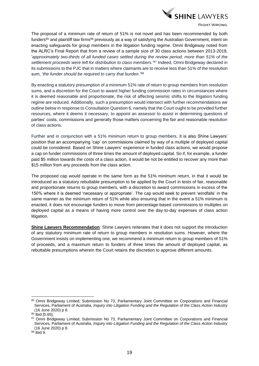

The proposal of a minimum rate of return of 51% is not novel and has been recommended by both funders<sup>85</sup> and plaintiff law firms<sup>86</sup> previously as a way of satisfying the Australian Government, intent on enacting safeguards for group members in the litigation funding regime. Omni Bridgeway noted from the ALRC's Final Report that from a review of a sample size of 30 class actions between 2013-2018, '*approximately two-thirds of all funded cases settled during the review period, more than 51% of the settlement proceeds were left for distribution to class members.*' <sup>87</sup> Indeed, Omni Bridgeway declared in its submissions to the PJC that in matters where claimants are to receive less than 51% of the resolution sum, '*the funder should be required to carry that burden*.'<sup>88</sup>

By enacting a statutory presumption of a minimum 51% rate of return to group members from resolution sums, and a discretion for the Court to award higher funding commission rates in circumstances where it is deemed reasonable and proportionate, the risk of affecting seismic shifts to the litigation funding regime are reduced. Additionally, such a presumption would intersect with further recommendations we outline below in response to Consultation Question 6, namely that the Court ought to be provided further resources, where it deems it necessary, to appoint an assessor to assist in determining questions of parties' costs, commissions and generally those matters concerning the fair and reasonable resolution of class actions.

Further and in conjunction with a 51% minimum return to group members, it is also Shine Lawyers' position that an accompanying 'cap' on commissions claimed by way of a multiple of deployed capital could be considered. Based on Shine Lawyers' experience in funded class actions, we would propose a cap on funder commissions of three times the amount of deployed capital. So if, for example, a funder paid \$5 million towards the costs of a class action, it would be not be entitled to recover any more than \$15 million from any proceeds from the class action.

The proposed cap would operate in the same form as the 51% minimum return, in that it would be introduced as a statutory rebuttable presumption to be applied by the Court in tests of fair, reasonable and proportionate returns to group members, with a discretion to award commissions in excess of the 150% where it is deemed 'necessary or appropriate'. The cap would seek to prevent 'windfalls' in the same manner as the minimum return of 51% while also ensuring that in the event a 51% minimum is enacted, it does not encourage funders to move from percentage-based commissions to multiples on deployed capital as a means of having more control over the day-to-day expenses of class action litigation.

**Shine Lawyers Recommendation**: Shine Lawyers reiterates that it does not support the introduction of any statutory minimum rate of return to group members in resolution sums. However, where the Government insists on implementing one, we recommend a minimum return to group members of 51% of proceeds, and a maximum return to funders of three times the amount of deployed capital, as rebuttable presumptions wherein the Court retains the discretion to approve different amounts.

<sup>85</sup> Omni Bridgeway Limited, Submission No 73, Parliamentary Joint Committee on Corporations and Financial Services, Parliament of Australia, *Inquiry into Litigation Funding and the Regulation of the Class Action Industry*  (16 June 2020) p 8.

 $86$  Ibid [5.65].

<sup>87</sup> Omni Bridgeway Limited, Submission No 73, Parliamentary Joint Committee on Corporations and Financial Services, Parliament of Australia, *Inquiry into Litigation Funding and the Regulation of the Class Action Industry*  (16 June 2020) p 8.

<sup>88</sup> Ibid 9.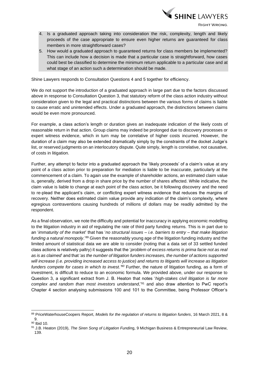

- 4. Is a graduated approach taking into consideration the risk, complexity, length and likely proceeds of the case appropriate to ensure even higher returns are guaranteed for class members in more straightforward cases?
- 5. How would a graduated approach to guaranteed returns for class members be implemented? This can include how a decision is made that a particular case is straightforward, how cases could best be classified to determine the minimum return applicable to a particular case and at what stage of an action such a determination should be made.

Shine Lawyers responds to Consultation Questions 4 and 5 together for efficiency.

We do not support the introduction of a graduated approach in large part due to the factors discussed above in response to Consultation Question 3, that statutory reform of the class action industry without consideration given to the legal and practical distinctions between the various forms of claims is liable to cause erratic and unintended effects. Under a graduated approach, the distinctions between claims would be even more pronounced.

For example, a class action's length or duration gives an inadequate indication of the likely costs of reasonable return in that action. Group claims may indeed be prolonged due to discovery processes or expert witness evidence, which in turn may be correlative of higher costs incurred. However, the duration of a claim may also be extended dramatically simply by the constraints of the docket Judge's list, or reserved judgments on an interlocutory dispute. Quite simply, length is correlative, not causative, of costs in litigation.

Further, any attempt to factor into a graduated approach the 'likely proceeds' of a claim's value at any point of a class action prior to preparation for mediation is liable to be inaccurate, particularly at the commencement of a claim. To again use the example of shareholder actions, an estimated claim value is, generally, derived from a drop in share price by the number of shares affected. While indicative, the claim value is liable to change at each point of the class action, be it following discovery and the need to re-plead the applicant's claim, or conflicting expert witness evidence that reduces the margins of recovery. Neither does estimated claim value provide any indication of the claim's complexity, where egregious contraventions causing hundreds of millions of dollars may be readily admitted by the respondent.

As a final observation, we note the difficulty and potential for inaccuracy in applying economic modelling to the litigation industry in aid of regulating the rate of third party funding returns. This is in part due to an '*immaturity of the market*' that has '*no structural issues – i.e. barriers to entry – that make litigation funding a natural monopoly*.'<sup>89</sup> Given the reasonably young age of the litigation funding industry and the limited amount of statistical data we are able to consider (noting that a data set of 33 settled funded class actions is relatively paltry) it suggests that the '*problem of excess returns is prima facie not as real as is as claimed*' and that '*as the number of litigation funders increases, the number of actions supported will increase (i.e. providing increased access to justice) and returns to litigants will increase as litigation funders compete for cases in which to invest.'<sup>90</sup>* Further, the nature of litigation funding, as a form of investment, is difficult to reduce to an economic formula. We provided above, under our response to Question 3, a significant extract from J. B. Heaton that notes '*high-stakes civil litigation is far more complex and random than most investors understand*,' <sup>91</sup> and also draw attention to PwC report's Chapter 4 section analysing submissions 100 and 101 to the Committee, being Professor Officer's

<sup>89</sup> PriceWaterhouseCoopers Report, *Models for the regulation of returns to litigation funders*, 16 March 2021, 8 & 9.

<sup>90</sup> Ibid 10.

<sup>91</sup> J.B. Heaton (2019), *The Siren Song of Litigation Fundin*g, 9 Michigan Business & Entrepreneurial Law Review, 139.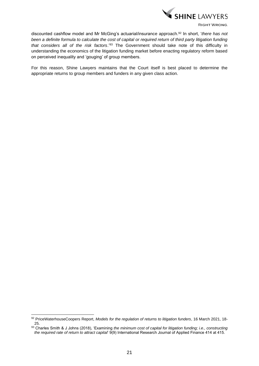

discounted cashflow model and Mr McGing's actuarial/insurance approach.<sup>92</sup> In short, '*there has not been a definite formula to calculate the cost of capital or required return of third party litigation funding that considers all of the risk factors*.'<sup>93</sup> The Government should take note of this difficulty in understanding the economics of the litigation funding market before enacting regulatory reform based on perceived inequality and 'gouging' of group members.

For this reason, Shine Lawyers maintains that the Court itself is best placed to determine the appropriate returns to group members and funders in any given class action.

<sup>92</sup> PriceWaterhouseCoopers Report, *Models for the regulation of returns to litigation funders*, 16 March 2021, 18- 25.

<sup>93</sup> Charles Smith & J Johns (2018), 'Examining the minimum cost of capital for litigation funding; i.e., constructing *the required rate of return to attract capital*' 9(9) International Research Journal of Applied Finance 414 at 415.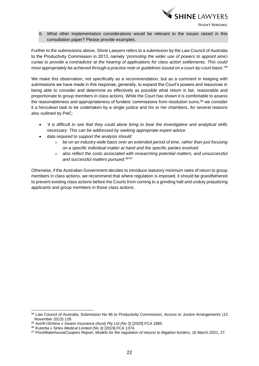

6. What other implementation considerations would be relevant to the issues raised in this consultation paper? Please provide examples.

Further to the submissions above, Shine Lawyers refers to a submission by the Law Council of Australia to the Productivity Commission in 2013, namely '*promoting the wider use of powers to appoint amici curiae to provide a contradictor at the hearing of applications for class action settlements. This could most appropriately be achieved through a practice note or guidelines issued on a court-by-court basis*.'<sup>94</sup>

We make this observation, not specifically as a recommendation, but as a comment in keeping with submissions we have made in this response, generally, to expand the Court's powers and resources in being able to consider and determine as effectively as possible what return is fair, reasonable and proportionate to group members in class actions. While the Court has shown it is comfortable to assess the reasonableness and appropriateness of funders' commissions from resolution sums,<sup>95</sup> we consider it a herculean task to be undertaken by a single justice and his or her chambers, for several reasons also outlined by PwC:

- '*it is difficult to see that they could alone bring to bear the investigative and analytical skills necessary. This can be addressed by seeking appropriate expert advice*
- *data required to support the analysis should:* 
	- o *be on an industry-wide basis over an extended period of time, rather than just focusing on a specific individual matter at hand and the specific parties involved*
	- o *also reflect the costs associated with researching potential matters, and unsuccessful*  and successful matters pursued.<sup>96'97</sup>

Otherwise, if the Australian Government decides to introduce statutory minimum rates of return to group members in class actions, we recommend that where regulation is imposed, it should be grandfathered to prevent existing class actions before the Courts from coming to a grinding halt and unduly prejudicing applicants and group members in those class actions.

<sup>94</sup> Law Council of Australia, Submission No 96 to Productivity Commission, *Access to Justice Arrangements* (13 November 2013) 128.

<sup>95</sup> *Asirifi-Otchere v Swann Insurance (Aust) Pty Ltd (No 3)* [2020] FCA 1885.

<sup>96</sup> *Kuterba v Sirtex Medical Limited (No 3)* [2019] FCA 1374.

<sup>97</sup> PriceWaterhouseCoopers Report, *Models for the regulation of returns to litigation funders*, 16 March 2021, 27.